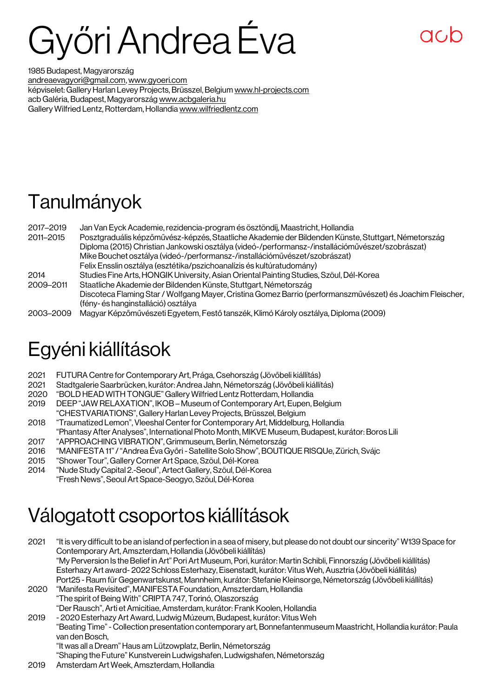# Győri Andrea Éva

1985 Budapest, Magyarország [andreaevagyori@gmail.com,](mailto:andreaevagyori@gmail.com) [www.gyoeri.com](http://www.gyoeri.com/) képviselet: Gallery Harlan Levey Projects, Brüsszel, Belgium [www.hl-projects.com](http://www.hl-projects.com/) acb Galéria, Budapest, Magyarország [www.acbgaleria.hu](http://www.acbgaleria.hu/) Gallery Wilfried Lentz, Rotterdam, Hollandi[a www.wilfriedlentz.com](http://www.wilfriedlentz.com/)

## Tanulmányok

| 2017-2019 | Jan Van Eyck Academie, rezidencia-program és ösztöndíj, Maastricht, Hollandia                              |
|-----------|------------------------------------------------------------------------------------------------------------|
| 2011-2015 | Posztgraduális képzőművész-képzés, Staatliche Akademie der Bildenden Künste, Stuttgart, Németország        |
|           | Diploma (2015) Christian Jankowski osztálya (videó-/performansz-/installációművészet/szobrászat)           |
|           | Mike Bouchet osztálya (videó-/performansz-/installációművészet/szobrászat)                                 |
|           | Felix Ensslin osztálya (esztétika/pszichoanalízis és kultúratudomány)                                      |
| 2014      | Studies Fine Arts, HONGIK University, Asian Oriental Painting Studies, Szöul, Dél-Korea                    |
| 2009-2011 | Staatliche Akademie der Bildenden Künste, Stuttgart, Németország                                           |
|           | Discoteca Flaming Star / Wolfgang Mayer, Cristina Gomez Barrio (performanszművészet) és Joachim Fleischer, |
|           | (fény-és hanginstalláció) osztálya                                                                         |
| 2003-2009 | Magyar Képzőművészeti Egyetem, Festő tanszék, Klimó Károly osztálya, Diploma (2009)                        |

## Egyéni kiállítások

- 2021 FUTURA Centre for Contemporary Art, Prága, Csehország (Jövőbeli kiállítás)
- 2021 Stadtgalerie Saarbrücken, kurátor: Andrea Jahn, Németország (Jövőbeli kiállítás)<br>2020 FBOLD HEAD WITH TONGUE" Gallery Wilfried Lentz Rotterdam. Hollandia
- 2020 "BOLD HEAD WITH TONGUE" Gallery Wilfried Lentz Rotterdam, Hollandia
- DEEP "JAW RELAXATION", IKOB Museum of Contemporary Art, Eupen, Belgium
- "CHESTVARIATIONS", Gallery Harlan Levey Projects, Brüsszel, Belgium
- 2018 "Traumatized Lemon", Vleeshal Center for Contemporary Art, Middelburg, Hollandia
- "Phantasy After Analyses", International Photo Month, MIKVE Museum, Budapest, kurátor: Boros Lili
- 2017 "APPROACHING VIBRATION", Grimmuseum, Berlin, Németország
- 2016 "MANIFESTA 11" / "Andrea Éva Győri Satellite Solo Show", BOUTIQUE RISQUe, Zürich, Svájc
- 2015 "Shower Tour", Gallery Corner Art Space, Szöul, Dél-Korea
- 2014 "Nude Study Capital 2.-Seoul", Artect Gallery, Szöul, Dél-Korea
- "Fresh News", Seoul Art Space-Seogyo, Szöul, Dél-Korea

#### Válogatott csoportos kiállítások

2021 "It is very difficult to be an island of perfection in a sea of misery, but please do not doubt our sincerity" W139 Space for Contemporary Art, Amszterdam, Hollandia (Jövőbeli kiállítás) "My Perversion Is the Belief in Art" Pori Art Museum, Pori, kurátor: Martin Schibli, Finnország (Jövőbeli kiállítás) Esterhazy Art award- 2022 Schloss Esterhazy, Eisenstadt, kurátor: Vitus Weh, Ausztria (Jövőbeli kiállítás) Port25 -Raum für Gegenwartskunst, Mannheim, kurátor: Stefanie Kleinsorge, Németország (Jövőbeli kiállítás) 2020 "Manifesta Revisited", MANIFESTA Foundation, Amszterdam, Hollandia "The spirit of Being With" CRIPTA 747, Torinó, Olaszország "Der Rausch", Arti et Amicitiae, Amsterdam, kurátor: Frank Koolen, Hollandia 2019 - 2020 Esterhazy Art Award, Ludwig Múzeum, Budapest, kurátor: Vitus Weh "Beating Time"- Collection presentation contemporary art, Bonnefantenmuseum Maastricht, Hollandia kurátor: Paula van den Bosch, "It was all a Dream" Haus am Lützowplatz, Berlin, Németország "Shaping the Future" Kunstverein Ludwigshafen, Ludwigshafen, Németország

2019 Amsterdam Art Week, Amszterdam, Hollandia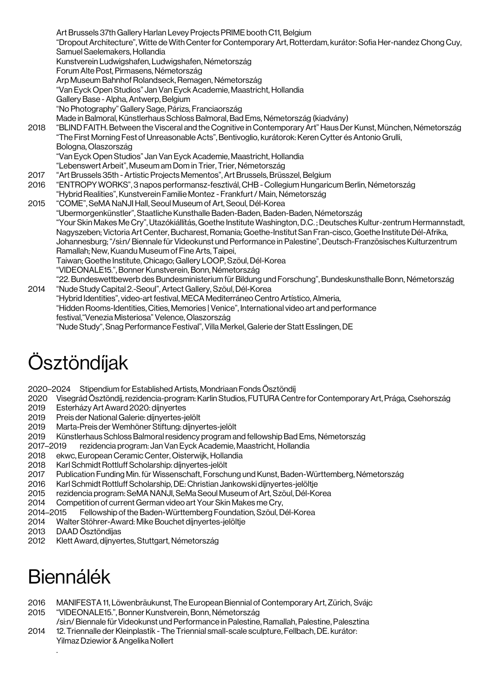Art Brussels 37th Gallery Harlan Levey Projects PRIME booth C11, Belgium "Dropout Architecture", Witte de With Center for Contemporary Art, Rotterdam, kurátor: Sofia Her-nandez Chong Cuy, Samuel Saelemakers, Hollandia Kunstverein Ludwigshafen, Ludwigshafen, Németország Forum Alte Post, Pirmasens, Németország Arp Museum Bahnhof Rolandseck, Remagen, Németország "Van Eyck Open Studios" Jan Van Eyck Academie, Maastricht, Hollandia Gallery Base - Alpha, Antwerp, Belgium "No Photography" Gallery Sage, Párizs, Franciaország Made in Balmoral, Künstlerhaus Schloss Balmoral, Bad Ems, Németország (kiadvány) 2018 "BLIND FAITH. Between the Visceral and the Cognitive in Contemporary Art" Haus Der Kunst, München, Németország "The First Morning Fest of Unreasonable Acts", Bentivoglio, kurátorok: Keren Cytter és Antonio Grulli, Bologna,Olaszország "Van Eyck Open Studios" Jan Van Eyck Academie, Maastricht, Hollandia "Lebenswert Arbeit", Museum am Dom in Trier, Trier, Németország 2017 "Art Brussels 35th - Artistic Projects Mementos", Art Brussels, Brüsszel, Belgium 2016 "ENTROPY WORKS", 3 napos performansz-fesztivál, CHB - Collegium Hungaricum Berlin, Németország "Hybrid Realities", Kunstverein Familie Montez - Frankfurt / Main, Németország 2015 "COME", SeMA NaNJI Hall, Seoul Museum of Art, Seoul, Dél-Korea "Ubermorgenkünstler", Staatliche Kunsthalle Baden-Baden, Baden-Baden, Németország "Your Skin Makes Me Cry", Utazókiállítás, Goethe Institute Washington, D.C. ; Deutsches Kultur-zentrum Hermannstadt, Nagyszeben; Victoria Art Center, Bucharest, Romania; Goethe-Institut San Fran-cisco, Goethe Institute Dél-Afrika, Johannesburg; "/si:n/ Biennale für Videokunst und Performance in Palestine", Deutsch-Französisches Kulturzentrum Ramallah; New, Kuandu Museum of Fine Arts, Taipei, Taiwan; Goethe Institute, Chicago; Gallery LOOP, Szöul, Dél-Korea "VIDEONALE15.", Bonner Kunstverein, Bonn, Németország "22. Bundeswettbewerb des Bundesministerium für Bildung und Forschung", Bundeskunsthalle Bonn, Németország 2014 "Nude Study Capital 2.-Seoul", Artect Gallery, Szöul, Dél-Korea "Hybrid Identities", video-art festival, MECA Mediterráneo Centro Artístico, Almeria,

"Hidden Rooms-Identities, Cities, Memories | Venice", International video art and performance festival,"Venezia Misteriosa" Velence,Olaszország "Nude Study", Snag Performance Festival", Villa Merkel, Galerie der Statt Esslingen, DE

# Ösztöndíjak

2020–2024 Stipendium for Established Artists, Mondriaan Fonds Ösztöndíj

2020 Visegrád Ösztöndíj, rezidencia-program: Karlin Studios, FUTURA Centre for Contemporary Art, Prága, Csehország

- 2019 Esterházy Art Award 2020: díjnyertes<br>2019 Preis der National Galerie: díjnyertes-je
- 2019 Preis der National Galerie: díjnyertes-jelölt
- 2019 Marta-Preis der Wemhöner Stiftung: díjnyertes-jelölt
- 2019 Künstlerhaus Schloss Balmoral residency program and fellowship Bad Ems, Németország
- 2017–2019 rezidencia program: Jan Van Eyck Academie, Maastricht, Hollandia
- 2018 ekwc, European Ceramic Center, Oisterwijk, Hollandia
- 2018 Karl Schmidt Rottluff Scholarship: díjnyertes-jelölt
- 2017 Publication Funding Min. für Wissenschaft, Forschung und Kunst, Baden-Württemberg, Németország<br>2016 Karl Schmidt Rottluff Scholarship, DE: Christian Jankowski díjnyertes-jelöltje
- 2016 Karl Schmidt Rottluff Scholarship, DE: Christian Jankowski díjnyertes-jelöltje
- 2015 rezidencia program: SeMA NANJI, SeMa Seoul Museum of Art, Szöul, Dél-Korea
- 2014 Competition of current German video art Your Skin Makes me Cry,
- 2014–2015 Fellowship of the Baden-Württemberg Foundation, Szöul, Dél-Korea
- 2014 Walter Stöhrer-Award: Mike Bouchet díjnyertes-jelöltje
- 2013 DAAD Ösztöndíjas
- 2012 Klett Award, díjnyertes, Stuttgart, Németország

## Biennálék

- 2016 MANIFESTA 11, Löwenbräukunst, The European Biennial of Contemporary Art, Zürich, Svájc 2015 "VIDEONALE15.", Bonner Kunstverein, Bonn, Németország
- /si:n/ Biennale für Videokunst und Performance in Palestine, Ramallah, Palestine, Palesztina 2014 12. Triennalle der Kleinplastik - The Triennial small-scale sculpture, Fellbach, DE. kurátor:
	- Yilmaz Dziewior & Angelika Nollert .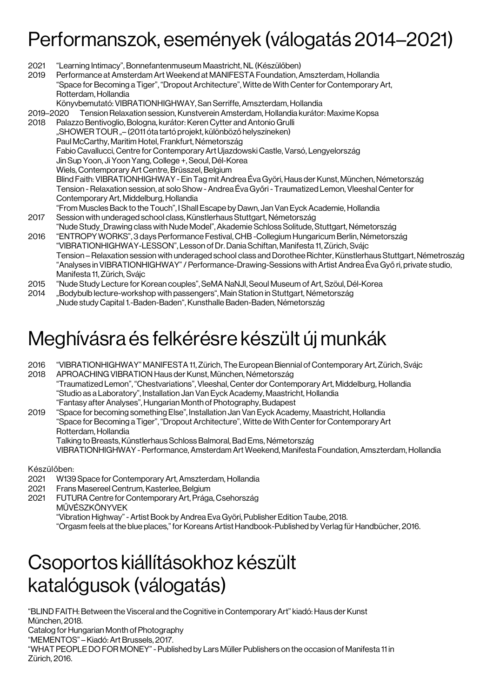#### Performanszok, események (válogatás 2014–2021)

- 2021 "Learning Intimacy", Bonnefantenmuseum Maastricht, NL (Készülőben)
- 2019 Performance at Amsterdam Art Weekend at MANIFESTA Foundation, Amszterdam, Hollandia "Space for Becoming a Tiger", "Dropout Architecture", Witte de With Center for Contemporary Art, Rotterdam, Hollandia

Könyvbemutató: VIBRATIONHIGHWAY, San Serriffe, Amszterdam, Hollandia

- 2019–2020 Tension Relaxation session, Kunstverein Amsterdam, Hollandia kurátor: Maxime Kopsa
- 2018 Palazzo Bentivoglio, Bologna, kurátor: Keren Cytter and Antonio Grulli "SHOWER TOUR "– (2011 óta tartó projekt, különböző helyszíneken) Paul McCarthy, Maritim Hotel, Frankfurt, Németország Fabio Cavallucci, Centre for Contemporary Art Ujazdowski Castle, Varsó, Lengyelország Jin Sup Yoon, Ji Yoon Yang, College +, Seoul, Dél-Korea Wiels, Contemporary Art Centre, Brüsszel, Belgium Blind Faith: VIBRATIONHIGHWAY - Ein Tag mit Andrea Éva Györi, Haus der Kunst, München, Németország Tension -Relaxation session, at solo Show - Andrea Éva Győri - Traumatized Lemon, Vleeshal Center for Contemporary Art, Middelburg, Hollandia "From Muscles Back to the Touch", I Shall Escape by Dawn, Jan Van Eyck Academie, Hollandia
- 2017 Session with underaged school class, Künstlerhaus Stuttgart, Németország "Nude Study\_Drawing class with Nude Model", Akademie Schloss Solitude, Stuttgart, Németország
- 2016 "ENTROPY WORKS", 3 days Performance Festival, CHB -Collegium Hungaricum Berlin, Németország "VIBRATIONHIGHWAY-LESSON", Lesson of Dr. Dania Schiftan, Manifesta 11, Zürich, Svájc Tension –Relaxation session with underaged school class and Dorothee Richter, Künstlerhaus Stuttgart, Németroszág "Analyses in VIBRATIONHIGHWAY" / Performance-Drawing-Sessions with Artist Andrea Éva Győ ri, private studio, Manifesta 11, Zürich, Svájc
- 2015 "Nude Study Lecture for Korean couples", SeMA NaNJI, Seoul Museum of Art, Szöul, Dél-Korea
- 2014 "Bodybulb lecture-workshop with passengers", Main Station in Stuttgart, Németország "Nude study Capital 1.-Baden-Baden", Kunsthalle Baden-Baden, Németország

#### Meghívásra és felkérésre készült új munkák

- 2016 "VIBRATIONHIGHWAY" MANIFESTA 11, Zürich, The European Biennial of Contemporary Art, Zürich, Svájc 2018 APROACHING VIBRATION Haus der Kunst, München, Németország "Traumatized Lemon", "Chestvariations", Vleeshal, Center dor Contemporary Art, Middelburg, Hollandia "Studio as a Laboratory", Installation Jan Van Eyck Academy, Maastricht, Hollandia "Fantasy after Analyses", Hungarian Month of Photography, Budapest
- 2019 "Space for becoming something Else", Installation Jan Van Eyck Academy, Maastricht, Hollandia "Space for Becoming a Tiger", "Dropout Architecture", Witte de With Center for Contemporary Art Rotterdam, Hollandia Talking to Breasts, Künstlerhaus Schloss Balmoral, Bad Ems, Németország VIBRATIONHIGHWAY - Performance, Amsterdam Art Weekend, Manifesta Foundation, Amszterdam, Hollandia

Készülőben:

Zürich, 2016.

- 2021 W139 Space for Contemporary Art, Amszterdam, Hollandia
- 2021 Frans Masereel Centrum, Kasterlee, Belgium
- 2021 FUTURA Centre for Contemporary Art, Prága, Csehország MŰVÉSZKÖNYVEK
	- "Vibration Highway" Artist Book by Andrea Eva Györi, Publisher Edition Taube, 2018.
	- "Orgasm feels at the blue places," for Koreans Artist Handbook-Published by Verlag für Handbücher, 2016.

#### Csoportos kiállításokhoz készült katalógusok (válogatás)

"BLIND FAITH: Between the Visceral and the Cognitive in Contemporary Art" kiadó: Haus der Kunst München, 2018. Catalog for Hungarian Month of Photography "MEMENTOS" – Kiadó: Art Brussels, 2017. "WHAT PEOPLE DO FOR MONEY" - Published by Lars Müller Publishers on the occasion of Manifesta 11 in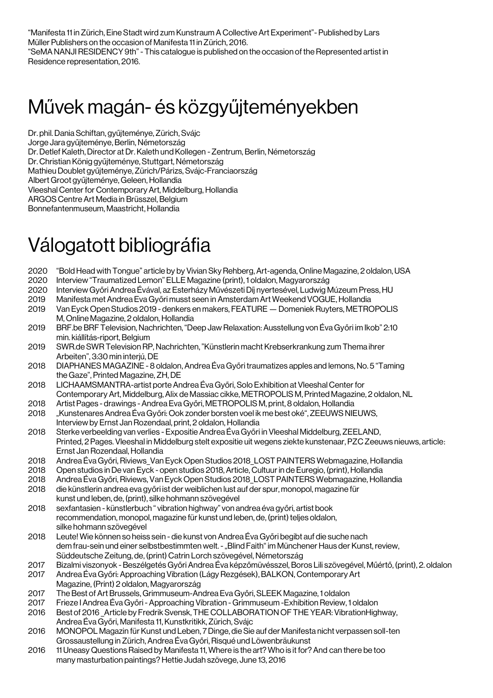"Manifesta 11 in Zürich, Eine Stadt wird zum Kunstraum A Collective Art Experiment"- Published by Lars Müller Publishers on the occasion of Manifesta 11 in Zürich, 2016. "SeMA NANJI RESIDENCY 9th" - This catalogue is published on the occasion of the Represented artist in Residence representation, 2016.

#### Művek magán- és közgyűjteményekben

Dr. phil. Dania Schiftan, gyűjteménye, Zürich, Svájc Jorge Jara gyűjteménye, Berlin, Németország Dr. Detlef Kaleth, Director at Dr. Kaleth und Kollegen - Zentrum, Berlin, Németország Dr. Christian König gyűjteménye, Stuttgart, Németország Mathieu Doublet gyűjteménye, Zürich/Párizs, Svájc-Franciaország Albert Groot gyűjteménye, Geleen, Hollandia Vleeshal Center for Contemporary Art, Middelburg, Hollandia ARGOS Centre Art Media in Brüsszel, Belgium Bonnefantenmuseum, Maastricht, Hollandia

#### Válogatott bibliográfia

- 2020 "Bold Head with Tongue" article by by Vivian Sky Rehberg, Art-agenda, Online Magazine, 2 oldalon, USA
- 2020 Interview "Traumatized Lemon" ELLE Magazine (print), 1 oldalon, Magyarország
- 2020 Interview Győri Andrea Évával, az Esterházy Művészeti Díj nyertesével, Ludwig Múzeum Press, HU
- 2019 Manifesta met Andrea Eva Győri musst seen in Amsterdam Art Weekend VOGUE, Hollandia
- 2019 Van Eyck Open Studios 2019 denkers en makers, FEATURE —Domeniek Ruyters, METROPOLIS M, Online Magazine, 2 oldalon, Hollandia
- 2019 BRF.be BRF Television, Nachrichten, "Deep Jaw Relaxation: Ausstellung von Éva Győri im Ikob" 2:10 min. kiállítás-riport, Belgium
- 2019 SWR.de SWR Television RP, Nachrichten, "Künstlerin macht Krebserkrankung zum Thema ihrer Arbeiten", 3:30 min interjú, DE
- 2018 DIAPHANES MAGAZINE 8 oldalon, Andrea Éva Győri traumatizes apples and lemons, No. 5 "Taming the Gaze", Printed Magazine, ZH, DE
- 2018 LICHAAMSMANTRA-artist porte Andrea Éva Győri, Solo Exhibition at Vleeshal Center for Contemporary Art, Middelburg, Alix de Massiac cikke, METROPOLIS M, Printed Magazine, 2 oldalon, NL
- 2018 Artist Pages drawings Andrea Eva Győri, METROPOLIS M, print, 8 oldalon, Hollandia
- 2018 "Kunstenares Andrea Éva Győri: Ook zonder borsten voel ik me best oké", ZEEUWS NIEUWS, Interview by Ernst Jan Rozendaal, print, 2 oldalon, Hollandia
- 2018 Sterke verbeelding van verlies Expositie Andrea Éva Győri in Vleeshal Middelburg, ZEELAND, Printed, 2 Pages. Vleeshal in Middelburg stelt expositie uit wegens ziekte kunstenaar, PZC Zeeuws nieuws, article: Ernst Jan Rozendaal, Hollandia
- 2018 Andrea Éva Győri, Riviews\_Van Eyck Open Studios 2018\_LOST PAINTERS Webmagazine, Hollandia
- 2018 Open studios in De van Eyck open studios 2018, Article, Cultuur in de Euregio, (print), Hollandia
- 2018 Andrea Éva Győri, Riviews, Van Eyck Open Studios 2018\_LOST PAINTERS Webmagazine, Hollandia
- 2018 die künstlerin andrea eva győri ist der weiblichen lust auf der spur, monopol, magazine für kunst und leben, de, (print), silke hohmann szövegével
- 2018 sexfantasien künstlerbuch " vibration highway" von andrea éva győri, artist book recommendation, monopol, magazine für kunst und leben, de, (print) teljes oldalon, silke hohmann szövegével
- 2018 Leute! Wie können so heiss sein die kunst von Andrea Éva Győri begibt auf die suche nach dem frau-sein und einer selbstbestimmten welt. - "Blind Faith" im Münchener Haus der Kunst, review, Süddeutsche Zeitung, de, (print) Catrin Lorch szövegével, Németország
- 2017 Bizalmi viszonyok Beszélgetés Győri Andrea Éva képzőmüvésszel, Boros Lili szövegével, Műértő, (print), 2. oldalon
- 2017 AndreaÉva Győri: Approaching Vibration (Lágy Rezgések),BALKON, Contemporary Art Magazine, (Print) 2 oldalon, Magyarország
- 2017 The Best of Art Brussels, Grimmuseum-Andrea Eva Győri, SLEEK Magazine, 1 oldalon
- 2017 Frieze I Andrea Éva Győri Approaching Vibration Grimmuseum -Exhibition Review, 1 oldalon
- 2016 Best of 2016 \_Article by Fredrik Svensk, THE COLLABORATION OF THE YEAR: VibrationHighway, Andrea Éva Győri, Manifesta 11, Kunstkritikk, Zürich, Svájc
- 2016 MONOPOL Magazin für Kunst und Leben, 7 Dinge, die Sie auf der Manifesta nicht verpassen soll-ten Grossaustellung in Zürich, Andrea Éva Győri, Risqué und Löwenbräukunst
- 2016 11 Uneasy Questions Raised by Manifesta 11, Where is the art? Who is it for? And can there be too many masturbation paintings? Hettie Judah szövege, June 13, 2016